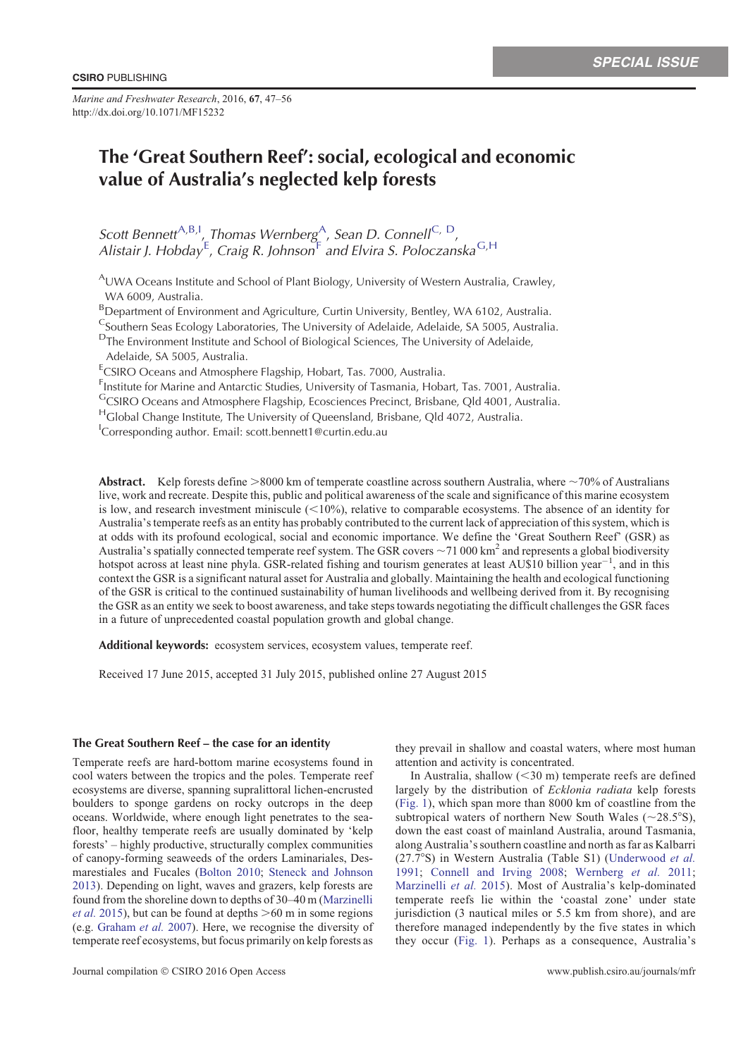*Marine and Freshwater Research*, 2016, **67**, 47–56 http://dx.doi.org/10.1071/MF15232

# The 'Great Southern Reef': social, ecological and economic value of Australia's neglected kelp forests

Scott Bennett<sup>A,B,I</sup>,<sub>L</sub>Thomas Wernberg<sup>A</sup>, Sean D. Connell<sup>C, D</sup>, Alistair J. Hobday<sup>E</sup>, Craig R. Johnson<sup>F</sup> and Elvira S. Poloczanska<sup>G,H</sup>

<sup>A</sup>UWA Oceans Institute and School of Plant Biology, University of Western Australia, Crawley, WA 6009, Australia.

BDepartment of Environment and Agriculture, Curtin University, Bentley, WA 6102, Australia.

C<sub>Southern</sub> Seas Ecology Laboratories, The University of Adelaide, Adelaide, SA 5005, Australia.

D<sub>The Environment Institute and School of Biological Sciences, The University of Adelaide,</sub>

Adelaide, SA 5005, Australia.

<sup>E</sup>CSIRO Oceans and Atmosphere Flagship, Hobart, Tas. 7000, Australia.

F Institute for Marine and Antarctic Studies, University of Tasmania, Hobart, Tas. 7001, Australia.

GCSIRO Oceans and Atmosphere Flagship, Ecosciences Precinct, Brisbane, Qld 4001, Australia.

HGlobal Change Institute, The University of Queensland, Brisbane, Qld 4072, Australia.

<sup>I</sup>Corresponding author. Email: scott.bennett1@curtin.edu.au

Abstract. Kelp forests define  $>8000$  km of temperate coastline across southern Australia, where  $\sim$ 70% of Australians live, work and recreate. Despite this, public and political awareness of the scale and significance of this marine ecosystem is low, and research investment miniscule  $(<10\%)$ , relative to comparable ecosystems. The absence of an identity for Australia's temperate reefs as an entity has probably contributed to the current lack of appreciation of this system, which is at odds with its profound ecological, social and economic importance. We define the 'Great Southern Reef' (GSR) as Australia's spatially connected temperate reef system. The GSR covers  $\sim$  71 000 km<sup>2</sup> and represents a global biodiversity hotspot across at least nine phyla. GSR-related fishing and tourism generates at least AU\$10 billion year<sup>-1</sup>, and in this context the GSR is a significant natural asset for Australia and globally. Maintaining the health and ecological functioning of the GSR is critical to the continued sustainability of human livelihoods and wellbeing derived from it. By recognising the GSR as an entity we seek to boost awareness, and take steps towards negotiating the difficult challenges the GSR faces in a future of unprecedented coastal population growth and global change.

Additional keywords: ecosystem services, ecosystem values, temperate reef.

Received 17 June 2015, accepted 31 July 2015, published online 27 August 2015

# The Great Southern Reef – the case for an identity

Temperate reefs are hard-bottom marine ecosystems found in cool waters between the tropics and the poles. Temperate reef ecosystems are diverse, spanning supralittoral lichen-encrusted boulders to sponge gardens on rocky outcrops in the deep oceans. Worldwide, where enough light penetrates to the seafloor, healthy temperate reefs are usually dominated by 'kelp forests' – highly productive, structurally complex communities of canopy-forming seaweeds of the orders Laminariales, Desmarestiales and Fucales ([Bolton 2010](#page-6-0); [Steneck and Johnson](#page-8-0) [2013\)](#page-8-0). Depending on light, waves and grazers, kelp forests are found from the shoreline down to depths of 30–40 m [\(Marzinelli](#page-8-0) *et al.* [2015\)](#page-8-0), but can be found at depths  $>60$  m in some regions (e.g. [Graham](#page-7-0) *et al.* 2007). Here, we recognise the diversity of temperate reef ecosystems, but focus primarily on kelp forests as they prevail in shallow and coastal waters, where most human attention and activity is concentrated.

In Australia, shallow  $(< 30 \text{ m})$  temperate reefs are defined largely by the distribution of *Ecklonia radiata* kelp forests ([Fig. 1\)](#page-1-0), which span more than 8000 km of coastline from the subtropical waters of northern New South Wales ( $\sim$ 28.5°S), down the east coast of mainland Australia, around Tasmania, along Australia's southern coastline and north as far as Kalbarri (27.78S) in Western Australia (Table S1) ([Underwood](#page-8-0) *et al.* [1991](#page-8-0); [Connell and Irving 2008;](#page-7-0) [Wernberg](#page-9-0) *et al.* 2011; [Marzinelli](#page-8-0) et al. 2015). Most of Australia's kelp-dominated temperate reefs lie within the 'coastal zone' under state jurisdiction (3 nautical miles or 5.5 km from shore), and are therefore managed independently by the five states in which they occur ([Fig. 1](#page-1-0)). Perhaps as a consequence, Australia's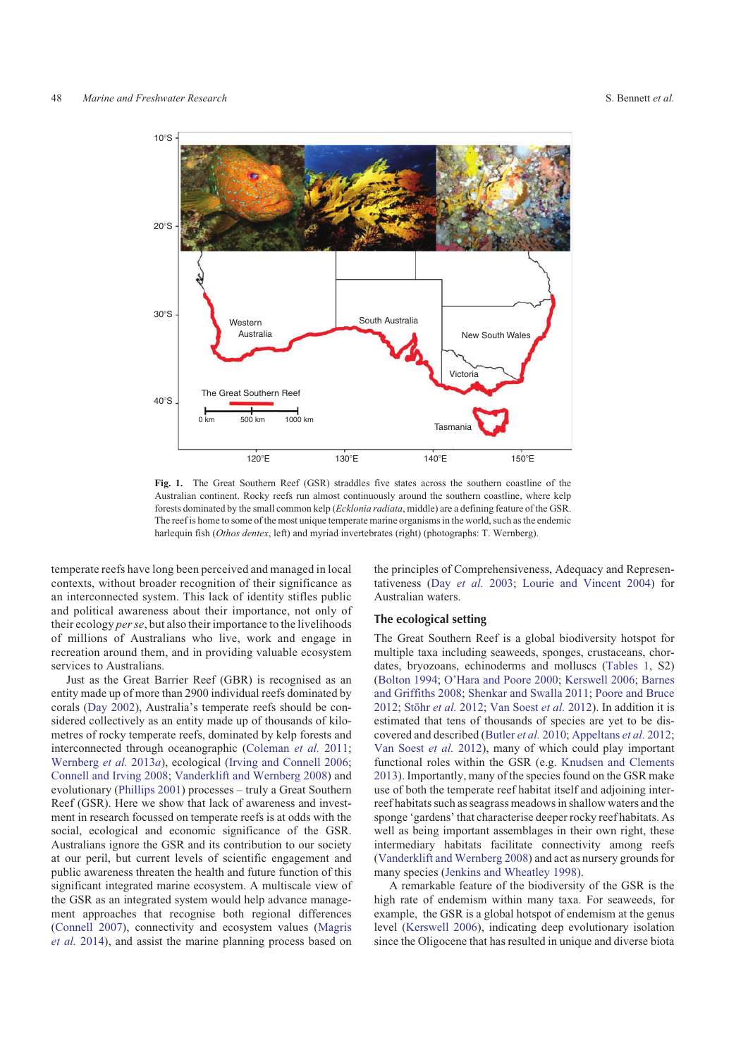<span id="page-1-0"></span>

**Fig. 1.** The Great Southern Reef (GSR) straddles five states across the southern coastline of the Australian continent. Rocky reefs run almost continuously around the southern coastline, where kelp forests dominated by the small common kelp (*Ecklonia radiata*, middle) are a defining feature of the GSR. The reef is home to some of the most unique temperate marine organisms in the world, such as the endemic harlequin fish (*Othos dentex*, left) and myriad invertebrates (right) (photographs: T. Wernberg).

temperate reefs have long been perceived and managed in local contexts, without broader recognition of their significance as an interconnected system. This lack of identity stifles public and political awareness about their importance, not only of their ecology *per se*, but also their importance to the livelihoods of millions of Australians who live, work and engage in recreation around them, and in providing valuable ecosystem services to Australians.

Just as the Great Barrier Reef (GBR) is recognised as an entity made up of more than 2900 individual reefs dominated by corals ([Day 2002](#page-7-0)), Australia's temperate reefs should be considered collectively as an entity made up of thousands of kilometres of rocky temperate reefs, dominated by kelp forests and interconnected through oceanographic [\(Coleman](#page-7-0) *et al.* 2011; [Wernberg](#page-9-0) *et al.* 2013*a*), ecological [\(Irving and Connell 2006](#page-7-0); [Connell and Irving 2008;](#page-7-0) [Vanderklift and Wernberg 2008\)](#page-9-0) and evolutionary [\(Phillips 2001\)](#page-8-0) processes – truly a Great Southern Reef (GSR). Here we show that lack of awareness and investment in research focussed on temperate reefs is at odds with the social, ecological and economic significance of the GSR. Australians ignore the GSR and its contribution to our society at our peril, but current levels of scientific engagement and public awareness threaten the health and future function of this significant integrated marine ecosystem. A multiscale view of the GSR as an integrated system would help advance management approaches that recognise both regional differences ([Connell 2007](#page-7-0)), connectivity and ecosystem values [\(Magris](#page-8-0) *[et al.](#page-8-0)* 2014), and assist the marine planning process based on the principles of Comprehensiveness, Adequacy and Representativeness (Day *[et al.](#page-7-0)* 2003; [Lourie and Vincent 2004](#page-8-0)) for Australian waters.

### The ecological setting

The Great Southern Reef is a global biodiversity hotspot for multiple taxa including seaweeds, sponges, crustaceans, chordates, bryozoans, echinoderms and molluscs ([Tables 1](#page-2-0), S2) [\(Bolton 1994](#page-6-0); [O'Hara and Poore 2000](#page-8-0); [Kerswell 2006](#page-8-0); [Barnes](#page-6-0) [and Griffiths 2008;](#page-6-0) [Shenkar and Swalla 2011](#page-8-0); [Poore and Bruce](#page-8-0) [2012;](#page-8-0) Stöhr *et al.* 2012; [Van Soest](#page-8-0) *et al.* 2012). In addition it is estimated that tens of thousands of species are yet to be discovered and described [\(Butler](#page-7-0) *et al.* 2010; [Appeltans](#page-6-0) *et al.* 2012; [Van Soest](#page-8-0) *et al.* 2012), many of which could play important functional roles within the GSR (e.g. [Knudsen and Clements](#page-8-0) [2013\)](#page-8-0). Importantly, many of the species found on the GSR make use of both the temperate reef habitat itself and adjoining interreef habitats such as seagrass meadows in shallow waters and the sponge 'gardens' that characterise deeper rocky reef habitats. As well as being important assemblages in their own right, these intermediary habitats facilitate connectivity among reefs [\(Vanderklift and Wernberg 2008\)](#page-9-0) and act as nursery grounds for many species [\(Jenkins and Wheatley 1998](#page-7-0)).

A remarkable feature of the biodiversity of the GSR is the high rate of endemism within many taxa. For seaweeds, for example, the GSR is a global hotspot of endemism at the genus level [\(Kerswell 2006](#page-8-0)), indicating deep evolutionary isolation since the Oligocene that has resulted in unique and diverse biota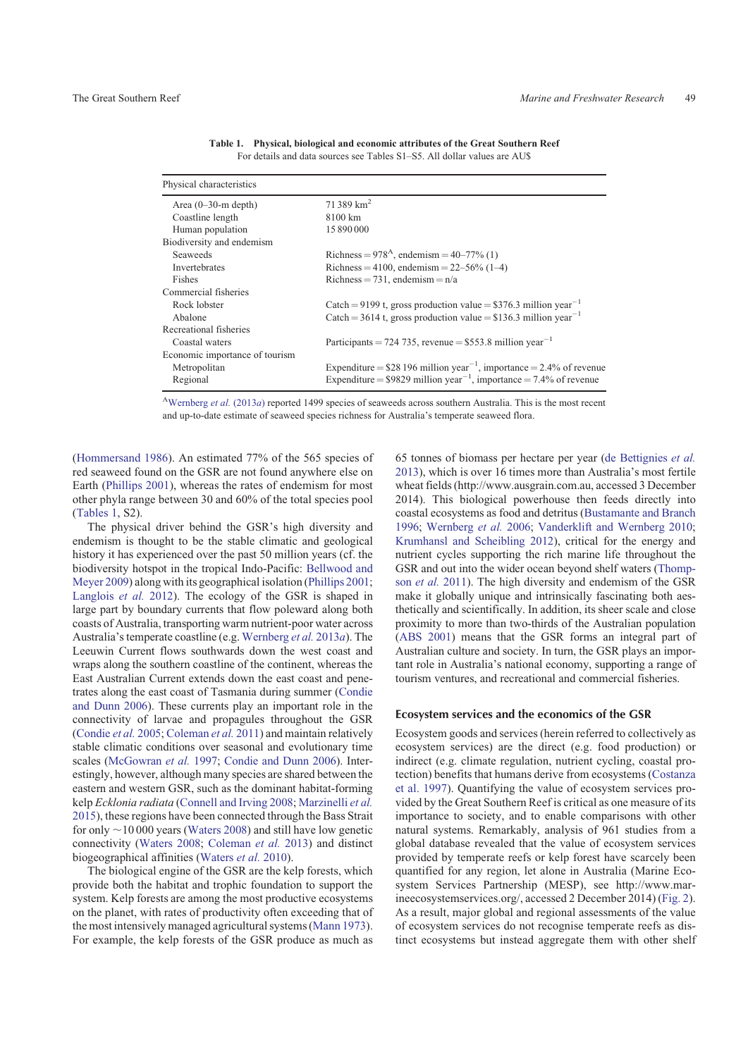<span id="page-2-0"></span>

| Physical characteristics       |                                                                                  |
|--------------------------------|----------------------------------------------------------------------------------|
| Area $(0-30$ -m depth)         | 71 389 $km^2$                                                                    |
| Coastline length               | 8100 km                                                                          |
| Human population               | 15 890 000                                                                       |
| Biodiversity and endemism      |                                                                                  |
| <b>Seaweeds</b>                | Richness = $978^{\text{A}}$ , endemism = $40-77\%$ (1)                           |
| <b>Invertebrates</b>           | Richness = 4100, endemism = $22-56\%$ (1-4)                                      |
| Fishes                         | Richness = 731, endemism = $n/a$                                                 |
| Commercial fisheries           |                                                                                  |
| Rock lobster                   | Catch = 9199 t, gross production value = $$376.3$ million year <sup>-1</sup>     |
| Abalone                        | Catch = 3614 t, gross production value = \$136.3 million year <sup>-1</sup>      |
| Recreational fisheries         |                                                                                  |
| Coastal waters                 | Participants = 724 735, revenue = $$553.8$ million year <sup>-1</sup>            |
| Economic importance of tourism |                                                                                  |
| Metropolitan                   | Expenditure = $$28196$ million year <sup>-1</sup> , importance = 2.4% of revenue |
| Regional                       | Expenditure = $$9829$ million year <sup>-1</sup> , importance = 7.4% of revenue  |

**Table 1. Physical, biological and economic attributes of the Great Southern Reef** For details and data sources see Tables S1–S5. All dollar values are AU\$

A[Wernberg](#page-9-0) *et al.* (2013*a*) reported 1499 species of seaweeds across southern Australia. This is the most recent and up-to-date estimate of seaweed species richness for Australia's temperate seaweed flora.

([Hommersand 1986\)](#page-7-0). An estimated 77% of the 565 species of red seaweed found on the GSR are not found anywhere else on Earth [\(Phillips 2001\)](#page-8-0), whereas the rates of endemism for most other phyla range between 30 and 60% of the total species pool (Tables 1, S2).

The physical driver behind the GSR's high diversity and endemism is thought to be the stable climatic and geological history it has experienced over the past 50 million years (cf. the biodiversity hotspot in the tropical Indo-Pacific: [Bellwood and](#page-6-0) [Meyer 2009\)](#page-6-0) along with its geographical isolation [\(Phillips 2001](#page-8-0); [Langlois](#page-8-0) *et al.* 2012). The ecology of the GSR is shaped in large part by boundary currents that flow poleward along both coasts of Australia, transporting warm nutrient-poor water across Australia's temperate coastline (e.g. [Wernberg](#page-9-0) *et al.* 2013*a*). The Leeuwin Current flows southwards down the west coast and wraps along the southern coastline of the continent, whereas the East Australian Current extends down the east coast and penetrates along the east coast of Tasmania during summer ([Condie](#page-7-0) [and Dunn 2006](#page-7-0)). These currents play an important role in the connectivity of larvae and propagules throughout the GSR ([Condie](#page-7-0) *et al.* 2005; [Coleman](#page-7-0) *et al.* 2011) and maintain relatively stable climatic conditions over seasonal and evolutionary time scales [\(McGowran](#page-8-0) *et al.* 1997; [Condie and Dunn 2006\)](#page-7-0). Interestingly, however, although many species are shared between the eastern and western GSR, such as the dominant habitat-forming kelp *Ecklonia radiata* [\(Connell and Irving 2008](#page-7-0); [Marzinelli](#page-8-0) *et al.* [2015](#page-8-0)), these regions have been connected through the Bass Strait for only  $\sim$ 10 000 years [\(Waters 2008\)](#page-9-0) and still have low genetic connectivity ([Waters 2008;](#page-9-0) [Coleman](#page-7-0) *et al.* 2013) and distinct biogeographical affinities [\(Waters](#page-9-0) *et al.* 2010).

The biological engine of the GSR are the kelp forests, which provide both the habitat and trophic foundation to support the system. Kelp forests are among the most productive ecosystems on the planet, with rates of productivity often exceeding that of the most intensively managed agricultural systems [\(Mann 1973](#page-8-0)). For example, the kelp forests of the GSR produce as much as 65 tonnes of biomass per hectare per year ([de Bettignies](#page-7-0) *et al.* [2013](#page-7-0)), which is over 16 times more than Australia's most fertile wheat fields [\(http://www.ausgrain.com.au](http://www.ausgrain.com.au), accessed 3 December 2014). This biological powerhouse then feeds directly into coastal ecosystems as food and detritus [\(Bustamante and Branch](#page-6-0) [1996](#page-6-0); [Wernberg](#page-9-0) *et al.* 2006; [Vanderklift and Wernberg 2010](#page-9-0); [Krumhansl and Scheibling 2012\)](#page-8-0), critical for the energy and nutrient cycles supporting the rich marine life throughout the GSR and out into the wider ocean beyond shelf waters ([Thomp](#page-8-0)son *[et al.](#page-8-0)* 2011). The high diversity and endemism of the GSR make it globally unique and intrinsically fascinating both aesthetically and scientifically. In addition, its sheer scale and close proximity to more than two-thirds of the Australian population ([ABS 2001](#page-6-0)) means that the GSR forms an integral part of Australian culture and society. In turn, the GSR plays an important role in Australia's national economy, supporting a range of tourism ventures, and recreational and commercial fisheries.

#### Ecosystem services and the economics of the GSR

Ecosystem goods and services (herein referred to collectively as ecosystem services) are the direct (e.g. food production) or indirect (e.g. climate regulation, nutrient cycling, coastal protection) benefits that humans derive from ecosystems [\(Costanza](#page-7-0) [et al. 1997\)](#page-7-0). Quantifying the value of ecosystem services provided by the Great Southern Reef is critical as one measure of its importance to society, and to enable comparisons with other natural systems. Remarkably, analysis of 961 studies from a global database revealed that the value of ecosystem services provided by temperate reefs or kelp forest have scarcely been quantified for any region, let alone in Australia (Marine Ecosystem Services Partnership (MESP), see [http://www.mar](http://www.marineecosystemservices.org/)[ineecosystemservices.org/](http://www.marineecosystemservices.org/), accessed 2 December 2014) [\(Fig. 2](#page-3-0)). As a result, major global and regional assessments of the value of ecosystem services do not recognise temperate reefs as distinct ecosystems but instead aggregate them with other shelf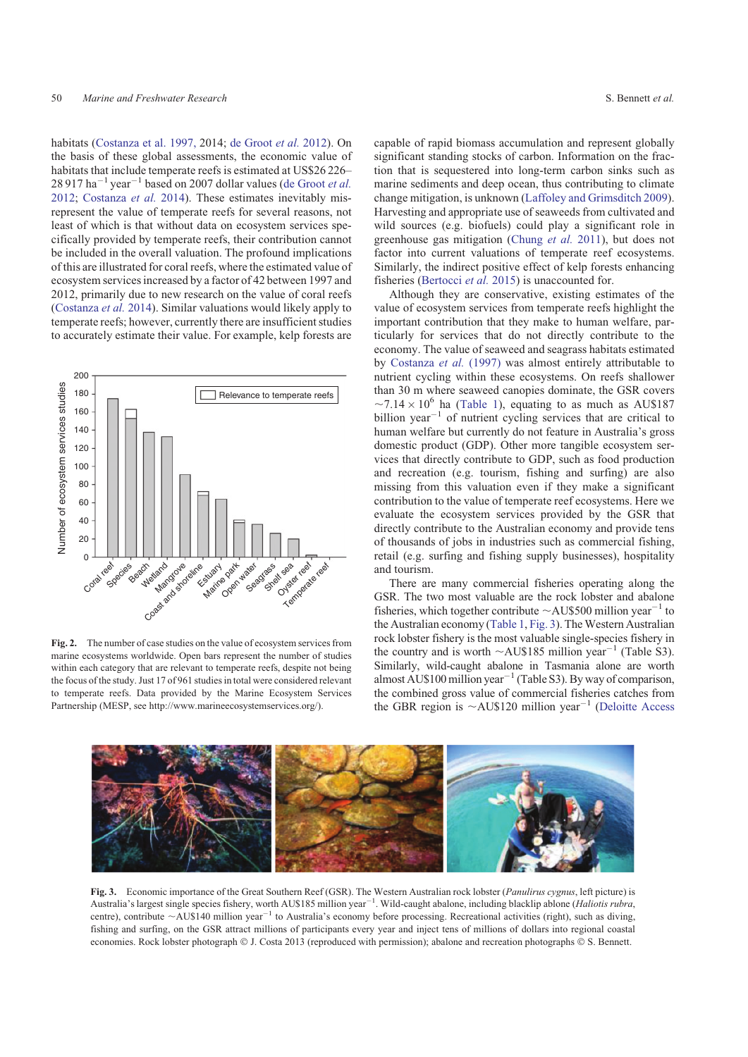<span id="page-3-0"></span>habitats [\(Costanza et al. 1997,](#page-7-0) 2014; [de Groot](#page-7-0) *et al.* 2012). On the basis of these global assessments, the economic value of habitats that include temperate reefs is estimated at US\$26 226–  $28917$  ha<sup>-1</sup> year<sup>-1</sup> based on 2007 dollar values ([de Groot](#page-7-0) *et al.* [2012;](#page-7-0) [Costanza](#page-7-0) *et al.* 2014). These estimates inevitably misrepresent the value of temperate reefs for several reasons, not least of which is that without data on ecosystem services specifically provided by temperate reefs, their contribution cannot be included in the overall valuation. The profound implications of this are illustrated for coral reefs, where the estimated value of ecosystem services increased by a factor of 42 between 1997 and 2012, primarily due to new research on the value of coral reefs ([Costanza](#page-7-0) *et al.* 2014). Similar valuations would likely apply to temperate reefs; however, currently there are insufficient studies to accurately estimate their value. For example, kelp forests are



**Fig. 2.** The number of case studies on the value of ecosystem services from marine ecosystems worldwide. Open bars represent the number of studies within each category that are relevant to temperate reefs, despite not being the focus of the study. Just 17 of 961 studies in total were considered relevant to temperate reefs. Data provided by the Marine Ecosystem Services Partnership (MESP, see [http://www.marineecosystemservices.org/\)](http://www.marineecosystemservices.org/).

capable of rapid biomass accumulation and represent globally significant standing stocks of carbon. Information on the fraction that is sequestered into long-term carbon sinks such as marine sediments and deep ocean, thus contributing to climate change mitigation, is unknown [\(Laffoley and Grimsditch 2009](#page-8-0)). Harvesting and appropriate use of seaweeds from cultivated and wild sources (e.g. biofuels) could play a significant role in greenhouse gas mitigation ([Chung](#page-7-0) *et al.* 2011), but does not factor into current valuations of temperate reef ecosystems. Similarly, the indirect positive effect of kelp forests enhancing fisheries ([Bertocci](#page-6-0) *et al.* 2015) is unaccounted for.

Although they are conservative, existing estimates of the value of ecosystem services from temperate reefs highlight the important contribution that they make to human welfare, particularly for services that do not directly contribute to the economy. The value of seaweed and seagrass habitats estimated by [Costanza](#page-7-0) *et al.* (1997) was almost entirely attributable to nutrient cycling within these ecosystems. On reefs shallower than 30 m where seaweed canopies dominate, the GSR covers  $\sim$ 7.14  $\times$  10<sup>6</sup> ha [\(Table 1\)](#page-2-0), equating to as much as AU\$187 billion year<sup> $-1$ </sup> of nutrient cycling services that are critical to human welfare but currently do not feature in Australia's gross domestic product (GDP). Other more tangible ecosystem services that directly contribute to GDP, such as food production and recreation (e.g. tourism, fishing and surfing) are also missing from this valuation even if they make a significant contribution to the value of temperate reef ecosystems. Here we evaluate the ecosystem services provided by the GSR that directly contribute to the Australian economy and provide tens of thousands of jobs in industries such as commercial fishing, retail (e.g. surfing and fishing supply businesses), hospitality and tourism.

There are many commercial fisheries operating along the GSR. The two most valuable are the rock lobster and abalone fisheries, which together contribute  $\sim$  AU\$500 million year<sup>-1</sup> to the Australian economy [\(Table 1,](#page-2-0) Fig. 3). The Western Australian rock lobster fishery is the most valuable single-species fishery in the country and is worth  $\sim$ AU\$185 million year<sup>-1</sup> (Table S3). Similarly, wild-caught abalone in Tasmania alone are worth almost AU\$100 million year<sup>-1</sup> (Table S3). By way of comparison, the combined gross value of commercial fisheries catches from the GBR region is  $\sim$ AU\$120 million year<sup>-1</sup> [\(Deloitte Access](#page-7-0)



**Fig. 3.** Economic importance of the Great Southern Reef (GSR). The Western Australian rock lobster (*Panulirus cygnus*, left picture) is Australia's largest single species fishery, worth AU\$185 million year<sup>-1</sup>. Wild-caught abalone, including blacklip ablone (*Haliotis rubra*, centre), contribute  $\sim$ AU\$140 million year<sup>-1</sup> to Australia's economy before processing. Recreational activities (right), such as diving, fishing and surfing, on the GSR attract millions of participants every year and inject tens of millions of dollars into regional coastal economies. Rock lobster photograph  $\circ$  J. Costa 2013 (reproduced with permission); abalone and recreation photographs  $\circ$  S. Bennett.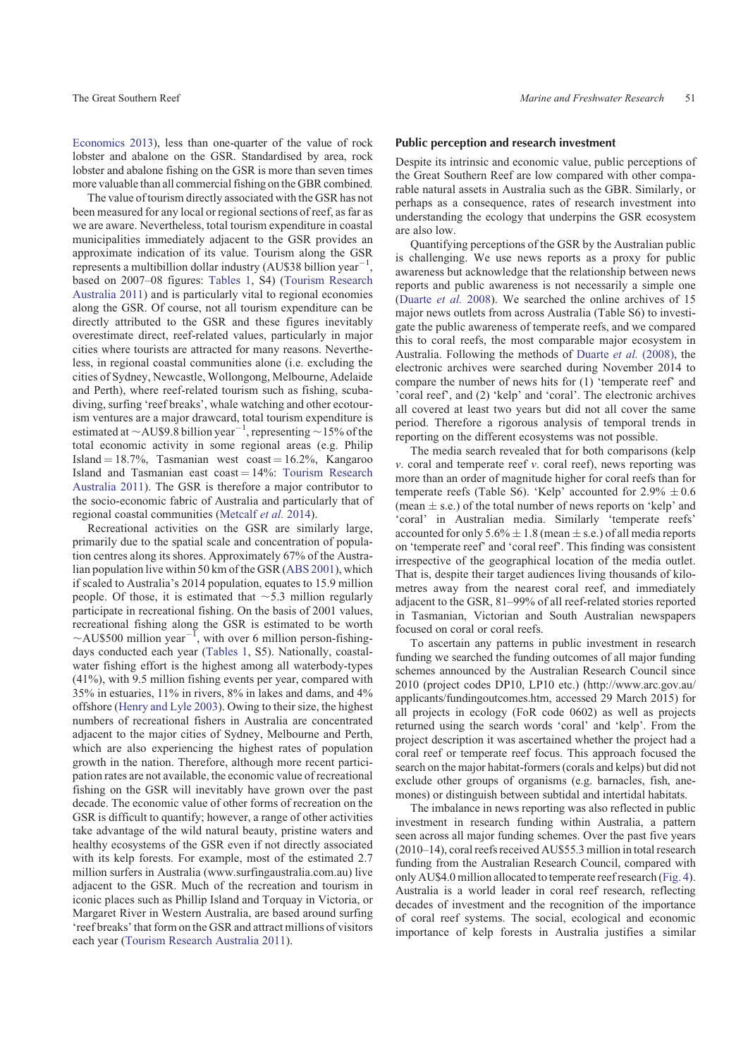[Economics 2013](#page-7-0)), less than one-quarter of the value of rock lobster and abalone on the GSR. Standardised by area, rock lobster and abalone fishing on the GSR is more than seven times more valuable than all commercial fishing on the GBR combined.

The value of tourism directly associated with the GSR has not been measured for any local or regional sections of reef, as far as we are aware. Nevertheless, total tourism expenditure in coastal municipalities immediately adjacent to the GSR provides an approximate indication of its value. Tourism along the GSR represents a multibillion dollar industry (AU\$38 billion year<sup>-1</sup> , based on 2007–08 figures: [Tables 1,](#page-2-0) S4) [\(Tourism Research](#page-8-0) [Australia 2011](#page-8-0)) and is particularly vital to regional economies along the GSR. Of course, not all tourism expenditure can be directly attributed to the GSR and these figures inevitably overestimate direct, reef-related values, particularly in major cities where tourists are attracted for many reasons. Nevertheless, in regional coastal communities alone (i.e. excluding the cities of Sydney, Newcastle, Wollongong, Melbourne, Adelaide and Perth), where reef-related tourism such as fishing, scubadiving, surfing 'reef breaks', whale watching and other ecotourism ventures are a major drawcard, total tourism expenditure is estimated at  $\sim$  AU\$9.8 billion year<sup>-1</sup>, representing  $\sim$  15% of the total economic activity in some regional areas (e.g. Philip Island  $= 18.7\%$ , Tasmanian west coast  $= 16.2\%$ , Kangaroo Island and Tasmanian east  $\text{cos}t = 14\%$ : [Tourism Research](#page-8-0) [Australia 2011\)](#page-8-0). The GSR is therefore a major contributor to the socio-economic fabric of Australia and particularly that of regional coastal communities ([Metcalf](#page-8-0) *et al.* 2014).

Recreational activities on the GSR are similarly large, primarily due to the spatial scale and concentration of population centres along its shores. Approximately 67% of the Australian population live within 50 km of the GSR ([ABS 2001\)](#page-6-0), which if scaled to Australia's 2014 population, equates to 15.9 million people. Of those, it is estimated that  $\sim$ 5.3 million regularly participate in recreational fishing. On the basis of 2001 values, recreational fishing along the GSR is estimated to be worth  $\sim$ AU\$500 million year<sup>-1</sup>, with over 6 million person-fishingdays conducted each year [\(Tables 1](#page-2-0), S5). Nationally, coastalwater fishing effort is the highest among all waterbody-types (41%), with 9.5 million fishing events per year, compared with 35% in estuaries, 11% in rivers, 8% in lakes and dams, and 4% offshore [\(Henry and Lyle 2003\)](#page-7-0). Owing to their size, the highest numbers of recreational fishers in Australia are concentrated adjacent to the major cities of Sydney, Melbourne and Perth, which are also experiencing the highest rates of population growth in the nation. Therefore, although more recent participation rates are not available, the economic value of recreational fishing on the GSR will inevitably have grown over the past decade. The economic value of other forms of recreation on the GSR is difficult to quantify; however, a range of other activities take advantage of the wild natural beauty, pristine waters and healthy ecosystems of the GSR even if not directly associated with its kelp forests. For example, most of the estimated 2.7 million surfers in Australia [\(www.surfingaustralia.com.au](http://www.surfingaustralia.com.au)) live adjacent to the GSR. Much of the recreation and tourism in iconic places such as Phillip Island and Torquay in Victoria, or Margaret River in Western Australia, are based around surfing 'reef breaks' that form on the GSR and attract millions of visitors each year ([Tourism Research Australia 2011\)](#page-8-0).

# Public perception and research investment

Despite its intrinsic and economic value, public perceptions of the Great Southern Reef are low compared with other comparable natural assets in Australia such as the GBR. Similarly, or perhaps as a consequence, rates of research investment into understanding the ecology that underpins the GSR ecosystem are also low.

Quantifying perceptions of the GSR by the Australian public is challenging. We use news reports as a proxy for public awareness but acknowledge that the relationship between news reports and public awareness is not necessarily a simple one ([Duarte](#page-7-0) *et al.* 2008). We searched the online archives of 15 major news outlets from across Australia (Table S6) to investigate the public awareness of temperate reefs, and we compared this to coral reefs, the most comparable major ecosystem in Australia. Following the methods of [Duarte](#page-7-0) *et al.* (2008), the electronic archives were searched during November 2014 to compare the number of news hits for (1) 'temperate reef' and 'coral reef', and (2) 'kelp' and 'coral'. The electronic archives all covered at least two years but did not all cover the same period. Therefore a rigorous analysis of temporal trends in reporting on the different ecosystems was not possible.

The media search revealed that for both comparisons (kelp *v*. coral and temperate reef *v*. coral reef), news reporting was more than an order of magnitude higher for coral reefs than for temperate reefs (Table S6). 'Kelp' accounted for  $2.9\% \pm 0.6$ (mean  $\pm$  s.e.) of the total number of news reports on 'kelp' and 'coral' in Australian media. Similarly 'temperate reefs' accounted for only  $5.6\% \pm 1.8$  (mean  $\pm$  s.e.) of all media reports on 'temperate reef' and 'coral reef'. This finding was consistent irrespective of the geographical location of the media outlet. That is, despite their target audiences living thousands of kilometres away from the nearest coral reef, and immediately adjacent to the GSR, 81–99% of all reef-related stories reported in Tasmanian, Victorian and South Australian newspapers focused on coral or coral reefs.

To ascertain any patterns in public investment in research funding we searched the funding outcomes of all major funding schemes announced by the Australian Research Council since 2010 (project codes DP10, LP10 etc.) ([http://www.arc.gov.au/](http://www.arc.gov.au/applicants/fundingoutcomes.htm) [applicants/fundingoutcomes.htm](http://www.arc.gov.au/applicants/fundingoutcomes.htm), accessed 29 March 2015) for all projects in ecology (FoR code 0602) as well as projects returned using the search words 'coral' and 'kelp'. From the project description it was ascertained whether the project had a coral reef or temperate reef focus. This approach focused the search on the major habitat-formers (corals and kelps) but did not exclude other groups of organisms (e.g. barnacles, fish, anemones) or distinguish between subtidal and intertidal habitats.

The imbalance in news reporting was also reflected in public investment in research funding within Australia, a pattern seen across all major funding schemes. Over the past five years (2010–14), coral reefs received AU\$55.3 million in total research funding from the Australian Research Council, compared with only AU\$4.0 million allocated to temperate reef research ([Fig. 4](#page-5-0)). Australia is a world leader in coral reef research, reflecting decades of investment and the recognition of the importance of coral reef systems. The social, ecological and economic importance of kelp forests in Australia justifies a similar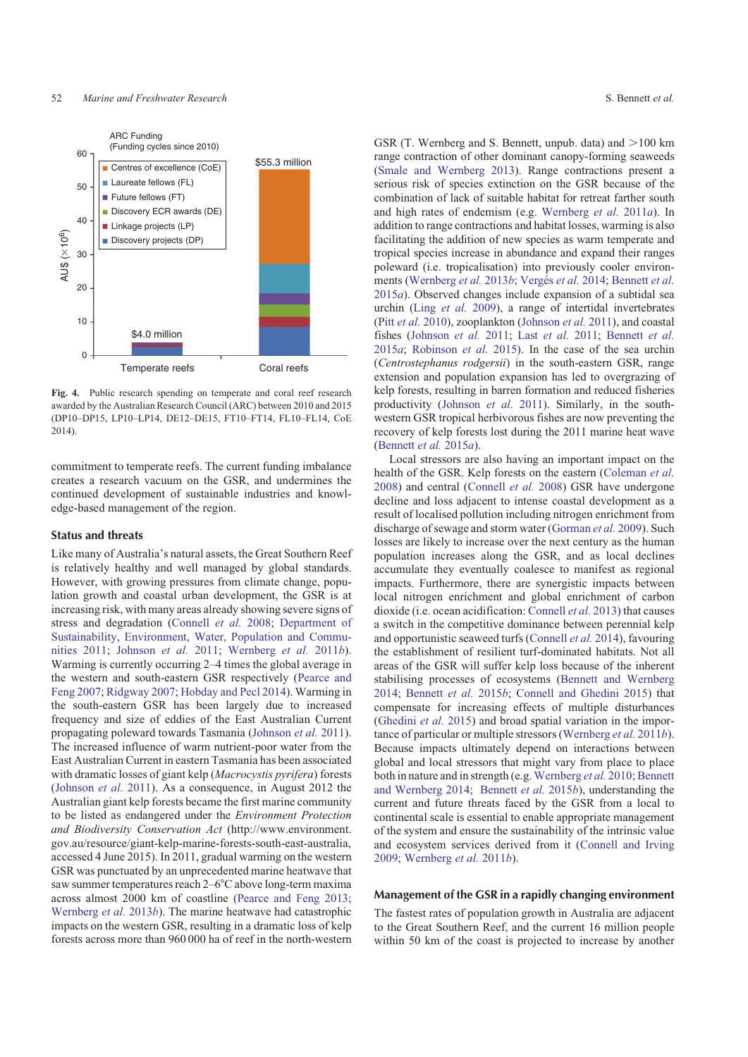<span id="page-5-0"></span>

**Fig. 4.** Public research spending on temperate and coral reef research awarded by the Australian Research Council (ARC) between 2010 and 2015 (DP10–DP15, LP10–LP14, DE12–DE15, FT10–FT14, FL10–FL14, CoE 2014).

commitment to temperate reefs. The current funding imbalance creates a research vacuum on the GSR, and undermines the continued development of sustainable industries and knowledge-based management of the region.

## Status and threats

Like many of Australia's natural assets, the Great Southern Reef is relatively healthy and well managed by global standards. However, with growing pressures from climate change, population growth and coastal urban development, the GSR is at increasing risk, with many areas already showing severe signs of stress and degradation ([Connell](#page-7-0) *et al.* 2008; [Department of](#page-7-0) [Sustainability, Environment, Water, Population and Commu](#page-7-0)[nities 2011](#page-7-0); [Johnson](#page-8-0) *et al.* 2011; [Wernberg](#page-9-0) *et al.* 2011*b*). Warming is currently occurring 2–4 times the global average in the western and south-eastern GSR respectively [\(Pearce and](#page-8-0) [Feng 2007](#page-8-0); [Ridgway 2007;](#page-8-0) [Hobday and Pecl 2014\)](#page-7-0). Warming in the south-eastern GSR has been largely due to increased frequency and size of eddies of the East Australian Current propagating poleward towards Tasmania ([Johnson](#page-8-0) *et al.* 2011). The increased influence of warm nutrient-poor water from the East Australian Current in eastern Tasmania has been associated with dramatic losses of giant kelp (*Macrocystis pyrifera*) forests ([Johnson](#page-8-0) *et al.* 2011). As a consequence, in August 2012 the Australian giant kelp forests became the first marine community to be listed as endangered under the *Environment Protection and Biodiversity Conservation Act* [\(http://www.environment.](http://www.environment.gov.au/resource/giant-kelp-marine-forests-south-east-australia) [gov.au/resource/giant-kelp-marine-forests-south-east-australia](http://www.environment.gov.au/resource/giant-kelp-marine-forests-south-east-australia), accessed 4 June 2015). In 2011, gradual warming on the western GSR was punctuated by an unprecedented marine heatwave that saw summer temperatures reach  $2-6^{\circ}$ C above long-term maxima across almost 2000 km of coastline ([Pearce and Feng 2013](#page-8-0); [Wernberg](#page-9-0) *et al.* 2013*b*). The marine heatwave had catastrophic impacts on the western GSR, resulting in a dramatic loss of kelp forests across more than 960 000 ha of reef in the north-western

GSR (T. Wernberg and S. Bennett, unpub. data) and  $>100$  km range contraction of other dominant canopy-forming seaweeds [\(Smale and Wernberg 2013\)](#page-8-0). Range contractions present a serious risk of species extinction on the GSR because of the combination of lack of suitable habitat for retreat farther south and high rates of endemism (e.g. [Wernberg](#page-9-0) *et al.* 2011*a*). In addition to range contractions and habitat losses, warming is also facilitating the addition of new species as warm temperate and tropical species increase in abundance and expand their ranges poleward (i.e. tropicalisation) into previously cooler environ-ments ([Wernberg](#page-9-0) et al. 2013b; Vergés et al. 2014; [Bennett](#page-6-0) et al. [2015](#page-6-0)*a*). Observed changes include expansion of a subtidal sea urchin (Ling *[et al.](#page-8-0)* 2009), a range of intertidal invertebrates (Pitt *et al.* [2010\)](#page-8-0), zooplankton [\(Johnson](#page-8-0) *et al.* 2011), and coastal fishes [\(Johnson](#page-8-0) *et al.* 2011; Last *[et al.](#page-8-0)* 2011; [Bennett](#page-6-0) *et al.* [2015](#page-6-0)*a*; [Robinson](#page-8-0) *et al.* 2015). In the case of the sea urchin (*Centrostephanus rodgersii*) in the south-eastern GSR, range extension and population expansion has led to overgrazing of kelp forests, resulting in barren formation and reduced fisheries productivity ([Johnson](#page-8-0) *et al.* 2011). Similarly, in the southwestern GSR tropical herbivorous fishes are now preventing the recovery of kelp forests lost during the 2011 marine heat wave [\(Bennett](#page-6-0) *et al.* 2015*a*).

Local stressors are also having an important impact on the health of the GSR. Kelp forests on the eastern ([Coleman](#page-7-0) *et al.* [2008\)](#page-7-0) and central [\(Connell](#page-7-0) *et al.* 2008) GSR have undergone decline and loss adjacent to intense coastal development as a result of localised pollution including nitrogen enrichment from discharge of sewage and storm water [\(Gorman](#page-7-0) *et al.* 2009). Such losses are likely to increase over the next century as the human population increases along the GSR, and as local declines accumulate they eventually coalesce to manifest as regional impacts. Furthermore, there are synergistic impacts between local nitrogen enrichment and global enrichment of carbon dioxide (i.e. ocean acidification: [Connell](#page-7-0) *et al.* 2013) that causes a switch in the competitive dominance between perennial kelp and opportunistic seaweed turfs ([Connell](#page-7-0) *et al.* 2014), favouring the establishment of resilient turf-dominated habitats. Not all areas of the GSR will suffer kelp loss because of the inherent stabilising processes of ecosystems [\(Bennett and Wernberg](#page-6-0) [2014;](#page-6-0) [Bennett](#page-6-0) *et al.* 2015*b*; [Connell and Ghedini 2015\)](#page-7-0) that compensate for increasing effects of multiple disturbances [\(Ghedini](#page-7-0) *et al.* 2015) and broad spatial variation in the importance of particular or multiple stressors [\(Wernberg](#page-9-0) *et al.* 2011*b*). Because impacts ultimately depend on interactions between global and local stressors that might vary from place to place both in nature and in strength (e.g. [Wernberg](#page-9-0) et al. 2010; [Bennett](#page-6-0) [and Wernberg 2014](#page-6-0); [Bennett](#page-6-0) *et al.* 2015*b*), understanding the current and future threats faced by the GSR from a local to continental scale is essential to enable appropriate management of the system and ensure the sustainability of the intrinsic value and ecosystem services derived from it ([Connell and Irving](#page-7-0) [2009;](#page-7-0) [Wernberg](#page-9-0) *et al.* 2011*b*).

#### Management of the GSR in a rapidly changing environment

The fastest rates of population growth in Australia are adjacent to the Great Southern Reef, and the current 16 million people within 50 km of the coast is projected to increase by another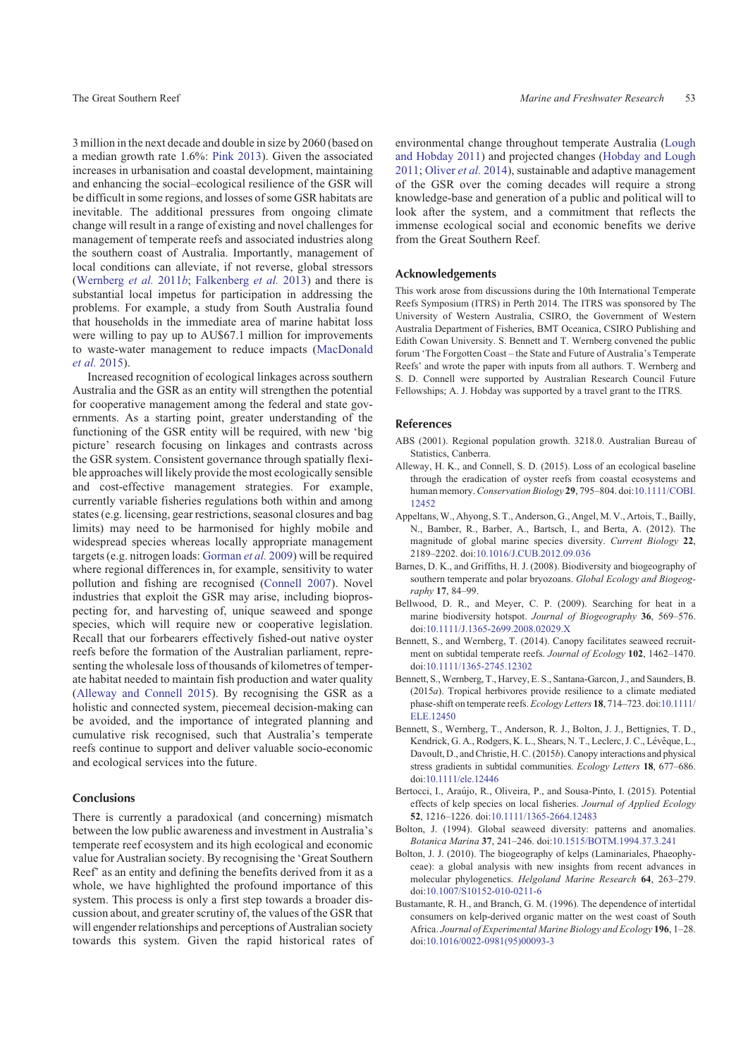<span id="page-6-0"></span>3 million in the next decade and double in size by 2060 (based on a median growth rate 1.6%: [Pink 2013](#page-8-0)). Given the associated increases in urbanisation and coastal development, maintaining and enhancing the social–ecological resilience of the GSR will be difficult in some regions, and losses of some GSR habitats are inevitable. The additional pressures from ongoing climate change will result in a range of existing and novel challenges for management of temperate reefs and associated industries along the southern coast of Australia. Importantly, management of local conditions can alleviate, if not reverse, global stressors ([Wernberg](#page-9-0) *et al.* 2011*b*; [Falkenberg](#page-7-0) *et al.* 2013) and there is substantial local impetus for participation in addressing the problems. For example, a study from South Australia found that households in the immediate area of marine habitat loss were willing to pay up to AU\$67.1 million for improvements to waste-water management to reduce impacts [\(MacDonald](#page-8-0) *[et al.](#page-8-0)* 2015).

Increased recognition of ecological linkages across southern Australia and the GSR as an entity will strengthen the potential for cooperative management among the federal and state governments. As a starting point, greater understanding of the functioning of the GSR entity will be required, with new 'big picture' research focusing on linkages and contrasts across the GSR system. Consistent governance through spatially flexible approaches will likely provide the most ecologically sensible and cost-effective management strategies. For example, currently variable fisheries regulations both within and among states (e.g. licensing, gear restrictions, seasonal closures and bag limits) may need to be harmonised for highly mobile and widespread species whereas locally appropriate management targets (e.g. nitrogen loads: [Gorman](#page-7-0) *et al.* 2009) will be required where regional differences in, for example, sensitivity to water pollution and fishing are recognised [\(Connell 2007\)](#page-7-0). Novel industries that exploit the GSR may arise, including bioprospecting for, and harvesting of, unique seaweed and sponge species, which will require new or cooperative legislation. Recall that our forbearers effectively fished-out native oyster reefs before the formation of the Australian parliament, representing the wholesale loss of thousands of kilometres of temperate habitat needed to maintain fish production and water quality (Alleway and Connell 2015). By recognising the GSR as a holistic and connected system, piecemeal decision-making can be avoided, and the importance of integrated planning and cumulative risk recognised, such that Australia's temperate reefs continue to support and deliver valuable socio-economic and ecological services into the future.

## Conclusions

There is currently a paradoxical (and concerning) mismatch between the low public awareness and investment in Australia's temperate reef ecosystem and its high ecological and economic value for Australian society. By recognising the 'Great Southern Reef' as an entity and defining the benefits derived from it as a whole, we have highlighted the profound importance of this system. This process is only a first step towards a broader discussion about, and greater scrutiny of, the values of the GSR that will engender relationships and perceptions of Australian society towards this system. Given the rapid historical rates of environmental change throughout temperate Australia [\(Lough](#page-8-0) [and Hobday 2011\)](#page-8-0) and projected changes ([Hobday and Lough](#page-7-0) [2011;](#page-7-0) [Oliver](#page-8-0) *et al.* 2014), sustainable and adaptive management of the GSR over the coming decades will require a strong knowledge-base and generation of a public and political will to look after the system, and a commitment that reflects the immense ecological social and economic benefits we derive from the Great Southern Reef.

## Acknowledgements

This work arose from discussions during the 10th International Temperate Reefs Symposium (ITRS) in Perth 2014. The ITRS was sponsored by The University of Western Australia, CSIRO, the Government of Western Australia Department of Fisheries, BMT Oceanica, CSIRO Publishing and Edith Cowan University. S. Bennett and T. Wernberg convened the public forum 'The Forgotten Coast – the State and Future of Australia's Temperate Reefs' and wrote the paper with inputs from all authors. T. Wernberg and S. D. Connell were supported by Australian Research Council Future Fellowships; A. J. Hobday was supported by a travel grant to the ITRS.

#### References

- ABS (2001). Regional population growth. 3218.0. Australian Bureau of Statistics, Canberra.
- Alleway, H. K., and Connell, S. D. (2015). Loss of an ecological baseline through the eradication of oyster reefs from coastal ecosystems and human memory.*Conservation Biology* **29**, 795–804. doi:[10.1111/COBI.](http://dx.doi.org/10.1111/COBI.12452) [12452](http://dx.doi.org/10.1111/COBI.12452)
- Appeltans,W., Ahyong, S. T., Anderson, G., Angel, M. V., Artois, T., Bailly, N., Bamber, R., Barber, A., Bartsch, I., and Berta, A. (2012). The magnitude of global marine species diversity. *Current Biology* **22**, 2189–2202. doi[:10.1016/J.CUB.2012.09.036](http://dx.doi.org/10.1016/J.CUB.2012.09.036)
- Barnes, D. K., and Griffiths, H. J. (2008). Biodiversity and biogeography of southern temperate and polar bryozoans. *Global Ecology and Biogeography* **17**, 84–99.
- Bellwood, D. R., and Meyer, C. P. (2009). Searching for heat in a marine biodiversity hotspot. *Journal of Biogeography* **36**, 569–576. doi[:10.1111/J.1365-2699.2008.02029.X](http://dx.doi.org/10.1111/J.1365-2699.2008.02029.X)
- Bennett, S., and Wernberg, T. (2014). Canopy facilitates seaweed recruitment on subtidal temperate reefs. *Journal of Ecology* **102**, 1462–1470. doi[:10.1111/1365-2745.12302](http://dx.doi.org/10.1111/1365-2745.12302)
- Bennett, S.,Wernberg, T., Harvey, E. S., Santana-Garcon, J., and Saunders, B. (2015*a*). Tropical herbivores provide resilience to a climate mediated phase-shift on temperate reefs. *Ecology Letters* **18**, 714–723. doi[:10.1111/](http://dx.doi.org/10.1111/ELE.12450) [ELE.12450](http://dx.doi.org/10.1111/ELE.12450)
- Bennett, S., Wernberg, T., Anderson, R. J., Bolton, J. J., Bettignies, T. D., Kendrick, G. A., Rodgers, K. L., Shears, N. T., Leclerc, J. C., Lévêque, L., Davoult, D., and Christie, H. C. (2015*b*). Canopy interactions and physical stress gradients in subtidal communities. *Ecology Letters* **18**, 677–686. doi[:10.1111/ele.12446](http://dx.doi.org/10.1111/ele.12446)
- Bertocci, I., Araújo, R., Oliveira, P., and Sousa-Pinto, I. (2015). Potential effects of kelp species on local fisheries. *Journal of Applied Ecology* **52**, 1216–1226. doi[:10.1111/1365-2664.12483](http://dx.doi.org/10.1111/1365-2664.12483)
- Bolton, J. (1994). Global seaweed diversity: patterns and anomalies. *Botanica Marina* **37**, 241–246. doi:[10.1515/BOTM.1994.37.3.241](http://dx.doi.org/10.1515/BOTM.1994.37.3.241)
- Bolton, J. J. (2010). The biogeography of kelps (Laminariales, Phaeophyceae): a global analysis with new insights from recent advances in molecular phylogenetics. *Helgoland Marine Research* **64**, 263–279. doi[:10.1007/S10152-010-0211-6](http://dx.doi.org/10.1007/S10152-010-0211-6)
- Bustamante, R. H., and Branch, G. M. (1996). The dependence of intertidal consumers on kelp-derived organic matter on the west coast of South Africa. *Journal of Experimental Marine Biology and Ecology* **196**, 1–28. doi[:10.1016/0022-0981\(95\)00093-3](http://dx.doi.org/10.1016/0022-0981(95)00093-3)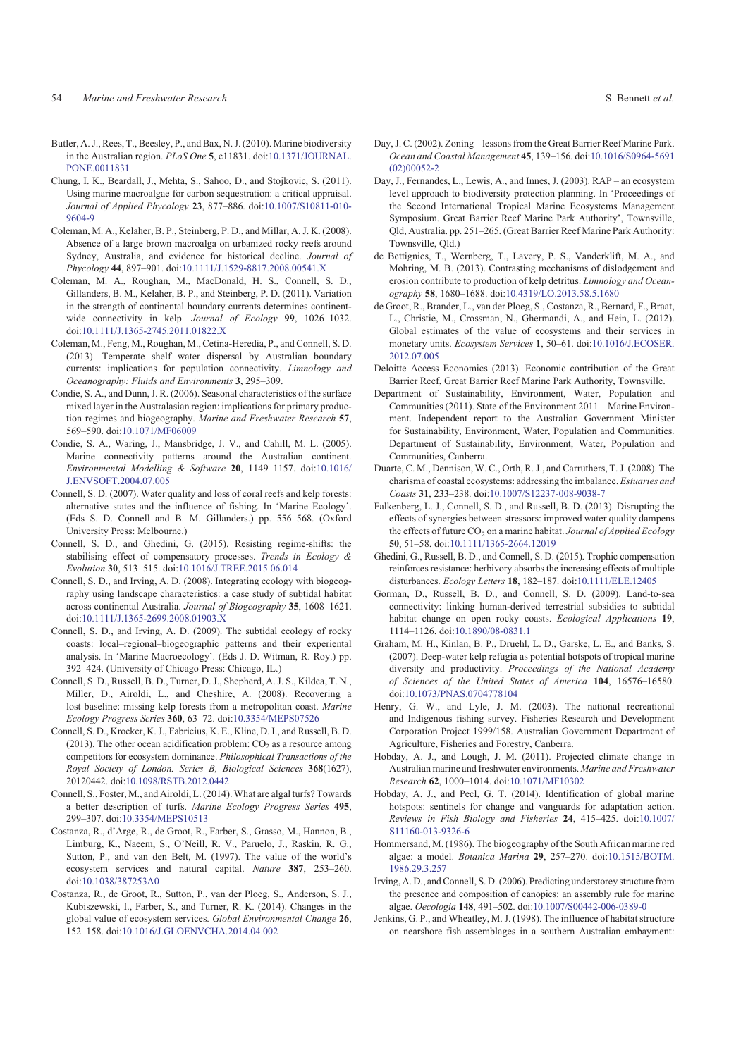- <span id="page-7-0"></span>Butler, A. J., Rees, T., Beesley, P., and Bax, N. J. (2010). Marine biodiversity in the Australian region. *PLoS One* **5**, e11831. doi:[10.1371/JOURNAL.](http://dx.doi.org/10.1371/JOURNAL.PONE.0011831) [PONE.0011831](http://dx.doi.org/10.1371/JOURNAL.PONE.0011831)
- Chung, I. K., Beardall, J., Mehta, S., Sahoo, D., and Stojkovic, S. (2011). Using marine macroalgae for carbon sequestration: a critical appraisal. *Journal of Applied Phycology* **23**, 877–886. doi[:10.1007/S10811-010-](http://dx.doi.org/10.1007/S10811-010-9604-9) [9604-9](http://dx.doi.org/10.1007/S10811-010-9604-9)
- Coleman, M. A., Kelaher, B. P., Steinberg, P. D., and Millar, A. J. K. (2008). Absence of a large brown macroalga on urbanized rocky reefs around Sydney, Australia, and evidence for historical decline. *Journal of Phycology* **44**, 897–901. doi:[10.1111/J.1529-8817.2008.00541.X](http://dx.doi.org/10.1111/J.1529-8817.2008.00541.X)
- Coleman, M. A., Roughan, M., MacDonald, H. S., Connell, S. D., Gillanders, B. M., Kelaher, B. P., and Steinberg, P. D. (2011). Variation in the strength of continental boundary currents determines continentwide connectivity in kelp. *Journal of Ecology* **99**, 1026–1032. doi[:10.1111/J.1365-2745.2011.01822.X](http://dx.doi.org/10.1111/J.1365-2745.2011.01822.X)
- Coleman, M., Feng, M., Roughan, M., Cetina-Heredia, P., and Connell, S. D. (2013). Temperate shelf water dispersal by Australian boundary currents: implications for population connectivity. *Limnology and Oceanography: Fluids and Environments* **3**, 295–309.
- Condie, S. A., and Dunn, J. R. (2006). Seasonal characteristics of the surface mixed layer in the Australasian region: implications for primary production regimes and biogeography. *Marine and Freshwater Research* **57**, 569–590. doi[:10.1071/MF06009](http://dx.doi.org/10.1071/MF06009)
- Condie, S. A., Waring, J., Mansbridge, J. V., and Cahill, M. L. (2005). Marine connectivity patterns around the Australian continent. *Environmental Modelling & Software* **20**, 1149–1157. doi:[10.1016/](http://dx.doi.org/10.1016/J.ENVSOFT.2004.07.005) [J.ENVSOFT.2004.07.005](http://dx.doi.org/10.1016/J.ENVSOFT.2004.07.005)
- Connell, S. D. (2007). Water quality and loss of coral reefs and kelp forests: alternative states and the influence of fishing. In 'Marine Ecology'. (Eds S. D. Connell and B. M. Gillanders.) pp. 556–568. (Oxford University Press: Melbourne.)
- Connell, S. D., and Ghedini, G. (2015). Resisting regime-shifts: the stabilising effect of compensatory processes. *Trends in Ecology & Evolution* **30**, 513–515. doi[:10.1016/J.TREE.2015.06.014](http://dx.doi.org/10.1016/J.TREE.2015.06.014)
- Connell, S. D., and Irving, A. D. (2008). Integrating ecology with biogeography using landscape characteristics: a case study of subtidal habitat across continental Australia. *Journal of Biogeography* **35**, 1608–1621. doi[:10.1111/J.1365-2699.2008.01903.X](http://dx.doi.org/10.1111/J.1365-2699.2008.01903.X)
- Connell, S. D., and Irving, A. D. (2009). The subtidal ecology of rocky coasts: local–regional–biogeographic patterns and their experiental analysis. In 'Marine Macroecology'. (Eds J. D. Witman, R. Roy.) pp. 392–424. (University of Chicago Press: Chicago, IL.)
- Connell, S. D., Russell, B. D., Turner, D. J., Shepherd, A. J. S., Kildea, T. N., Miller, D., Airoldi, L., and Cheshire, A. (2008). Recovering a lost baseline: missing kelp forests from a metropolitan coast. *Marine Ecology Progress Series* **360**, 63–72. doi:[10.3354/MEPS07526](http://dx.doi.org/10.3354/MEPS07526)
- Connell, S. D., Kroeker, K. J., Fabricius, K. E., Kline, D. I., and Russell, B. D. (2013). The other ocean acidification problem:  $CO<sub>2</sub>$  as a resource among competitors for ecosystem dominance. *Philosophical Transactions of the Royal Society of London. Series B, Biological Sciences* **368**(1627), 20120442. doi[:10.1098/RSTB.2012.0442](http://dx.doi.org/10.1098/RSTB.2012.0442)
- Connell, S., Foster, M., and Airoldi, L. (2014).What are algal turfs? Towards a better description of turfs. *Marine Ecology Progress Series* **495**, 299–307. doi[:10.3354/MEPS10513](http://dx.doi.org/10.3354/MEPS10513)
- Costanza, R., d'Arge, R., de Groot, R., Farber, S., Grasso, M., Hannon, B., Limburg, K., Naeem, S., O'Neill, R. V., Paruelo, J., Raskin, R. G., Sutton, P., and van den Belt, M. (1997). The value of the world's ecosystem services and natural capital. *Nature* **387**, 253–260. doi[:10.1038/387253A0](http://dx.doi.org/10.1038/387253A0)
- Costanza, R., de Groot, R., Sutton, P., van der Ploeg, S., Anderson, S. J., Kubiszewski, I., Farber, S., and Turner, R. K. (2014). Changes in the global value of ecosystem services. *Global Environmental Change* **26**, 152–158. doi[:10.1016/J.GLOENVCHA.2014.04.002](http://dx.doi.org/10.1016/J.GLOENVCHA.2014.04.002)
- Day, J. C. (2002). Zoning lessons from the Great Barrier Reef Marine Park. *Ocean and Coastal Management* **45**, 139–156. doi[:10.1016/S0964-5691](http://dx.doi.org/10.1016/S0964-5691(02)00052-2)
- Day, J., Fernandes, L., Lewis, A., and Innes, J. (2003). RAP an ecosystem level approach to biodiversity protection planning. In 'Proceedings of the Second International Tropical Marine Ecosystems Management Symposium. Great Barrier Reef Marine Park Authority', Townsville, Qld, Australia. pp. 251–265. (Great Barrier Reef Marine Park Authority: Townsville, Qld.)

[\(02\)00052-2](http://dx.doi.org/10.1016/S0964-5691(02)00052-2)

- de Bettignies, T., Wernberg, T., Lavery, P. S., Vanderklift, M. A., and Mohring, M. B. (2013). Contrasting mechanisms of dislodgement and erosion contribute to production of kelp detritus. *Limnology and Oceanography* **58**, 1680–1688. doi:[10.4319/LO.2013.58.5.1680](http://dx.doi.org/10.4319/LO.2013.58.5.1680)
- de Groot, R., Brander, L., van der Ploeg, S., Costanza, R., Bernard, F., Braat, L., Christie, M., Crossman, N., Ghermandi, A., and Hein, L. (2012). Global estimates of the value of ecosystems and their services in monetary units. *Ecosystem Services* **1**, 50–61. doi[:10.1016/J.ECOSER.](http://dx.doi.org/10.1016/J.ECOSER.2012.07.005) [2012.07.005](http://dx.doi.org/10.1016/J.ECOSER.2012.07.005)
- Deloitte Access Economics (2013). Economic contribution of the Great Barrier Reef, Great Barrier Reef Marine Park Authority, Townsville.
- Department of Sustainability, Environment, Water, Population and Communities (2011). State of the Environment 2011 – Marine Environment. Independent report to the Australian Government Minister for Sustainability, Environment, Water, Population and Communities. Department of Sustainability, Environment, Water, Population and Communities, Canberra.
- Duarte, C. M., Dennison, W. C., Orth, R. J., and Carruthers, T. J. (2008). The charisma of coastal ecosystems: addressing the imbalance. *Estuaries and Coasts* **31**, 233–238. doi:[10.1007/S12237-008-9038-7](http://dx.doi.org/10.1007/S12237-008-9038-7)
- Falkenberg, L. J., Connell, S. D., and Russell, B. D. (2013). Disrupting the effects of synergies between stressors: improved water quality dampens the effects of future CO<sub>2</sub> on a marine habitat. *Journal of Applied Ecology* **50**, 51–58. doi[:10.1111/1365-2664.12019](http://dx.doi.org/10.1111/1365-2664.12019)
- Ghedini, G., Russell, B. D., and Connell, S. D. (2015). Trophic compensation reinforces resistance: herbivory absorbs the increasing effects of multiple disturbances. *Ecology Letters* **18**, 182–187. doi[:10.1111/ELE.12405](http://dx.doi.org/10.1111/ELE.12405)
- Gorman, D., Russell, B. D., and Connell, S. D. (2009). Land-to-sea connectivity: linking human-derived terrestrial subsidies to subtidal habitat change on open rocky coasts. *Ecological Applications* **19**, 1114–1126. doi[:10.1890/08-0831.1](http://dx.doi.org/10.1890/08-0831.1)
- Graham, M. H., Kinlan, B. P., Druehl, L. D., Garske, L. E., and Banks, S. (2007). Deep-water kelp refugia as potential hotspots of tropical marine diversity and productivity. *Proceedings of the National Academy of Sciences of the United States of America* **104**, 16576–16580. doi[:10.1073/PNAS.0704778104](http://dx.doi.org/10.1073/PNAS.0704778104)
- Henry, G. W., and Lyle, J. M. (2003). The national recreational and Indigenous fishing survey. Fisheries Research and Development Corporation Project 1999/158. Australian Government Department of Agriculture, Fisheries and Forestry, Canberra.
- Hobday, A. J., and Lough, J. M. (2011). Projected climate change in Australian marine and freshwater environments. *Marine and Freshwater Research* **62**, 1000–1014. doi:[10.1071/MF10302](http://dx.doi.org/10.1071/MF10302)
- Hobday, A. J., and Pecl, G. T. (2014). Identification of global marine hotspots: sentinels for change and vanguards for adaptation action. *Reviews in Fish Biology and Fisheries* **24**, 415–425. doi:[10.1007/](http://dx.doi.org/10.1007/S11160-013-9326-6) [S11160-013-9326-6](http://dx.doi.org/10.1007/S11160-013-9326-6)
- Hommersand, M. (1986). The biogeography of the South African marine red algae: a model. *Botanica Marina* **29**, 257–270. doi[:10.1515/BOTM.](http://dx.doi.org/10.1515/BOTM.1986.29.3.257) [1986.29.3.257](http://dx.doi.org/10.1515/BOTM.1986.29.3.257)
- Irving, A. D., and Connell, S. D. (2006). Predicting understorey structure from the presence and composition of canopies: an assembly rule for marine algae. *Oecologia* **148**, 491–502. doi[:10.1007/S00442-006-0389-0](http://dx.doi.org/10.1007/S00442-006-0389-0)
- Jenkins, G. P., and Wheatley, M. J. (1998). The influence of habitat structure on nearshore fish assemblages in a southern Australian embayment: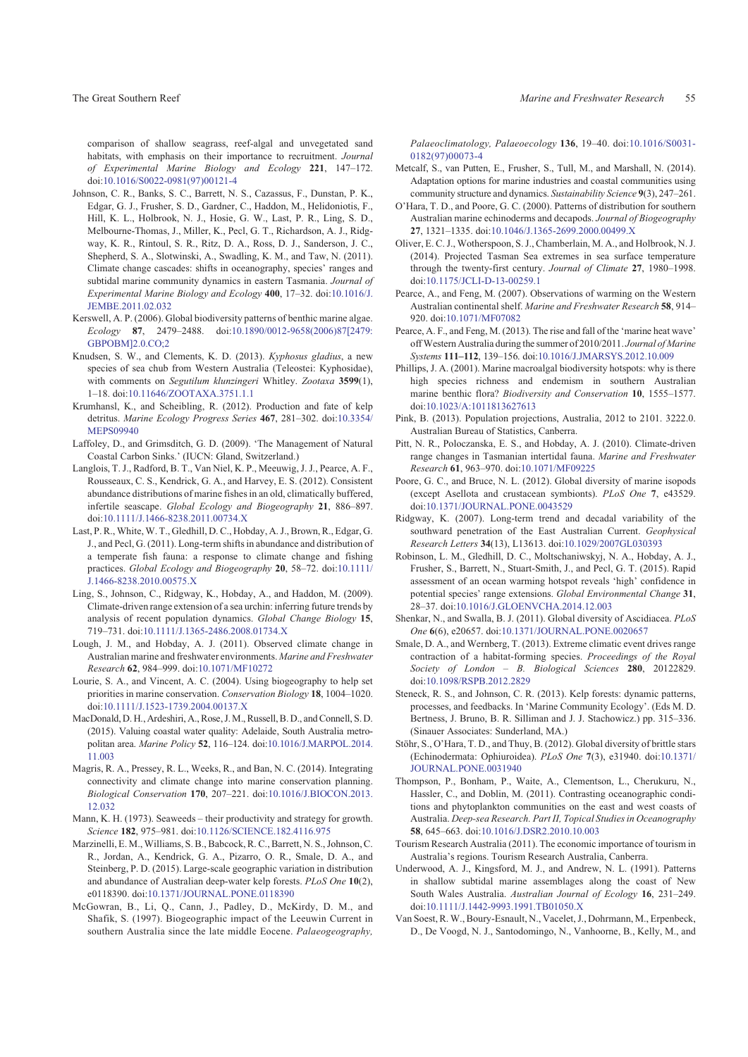<span id="page-8-0"></span>comparison of shallow seagrass, reef-algal and unvegetated sand habitats, with emphasis on their importance to recruitment. *Journal of Experimental Marine Biology and Ecology* **221**, 147–172. doi[:10.1016/S0022-0981\(97\)00121-4](http://dx.doi.org/10.1016/S0022-0981(97)00121-4)

- Johnson, C. R., Banks, S. C., Barrett, N. S., Cazassus, F., Dunstan, P. K., Edgar, G. J., Frusher, S. D., Gardner, C., Haddon, M., Helidoniotis, F., Hill, K. L., Holbrook, N. J., Hosie, G. W., Last, P. R., Ling, S. D., Melbourne-Thomas, J., Miller, K., Pecl, G. T., Richardson, A. J., Ridgway, K. R., Rintoul, S. R., Ritz, D. A., Ross, D. J., Sanderson, J. C., Shepherd, S. A., Slotwinski, A., Swadling, K. M., and Taw, N. (2011). Climate change cascades: shifts in oceanography, species' ranges and subtidal marine community dynamics in eastern Tasmania. *Journal of Experimental Marine Biology and Ecology* **400**, 17–32. doi:[10.1016/J.](http://dx.doi.org/10.1016/J.JEMBE.2011.02.032) [JEMBE.2011.02.032](http://dx.doi.org/10.1016/J.JEMBE.2011.02.032)
- Kerswell, A. P. (2006). Global biodiversity patterns of benthic marine algae. *Ecology* **87**, 2479–2488. doi[:10.1890/0012-9658\(2006\)87\[2479:](http://dx.doi.org/10.1890/0012-9658(2006)87[2479:GBPOBM]2.0.CO;2) [GBPOBM\]2.0.CO;2](http://dx.doi.org/10.1890/0012-9658(2006)87[2479:GBPOBM]2.0.CO;2)
- Knudsen, S. W., and Clements, K. D. (2013). *Kyphosus gladius*, a new species of sea chub from Western Australia (Teleostei: Kyphosidae), with comments on *Segutilum klunzingeri* Whitley. *Zootaxa* **3599**(1), 1–18. doi[:10.11646/ZOOTAXA.3751.1.1](http://dx.doi.org/10.11646/ZOOTAXA.3751.1.1)
- Krumhansl, K., and Scheibling, R. (2012). Production and fate of kelp detritus. *Marine Ecology Progress Series* **467**, 281–302. doi:[10.3354/](http://dx.doi.org/10.3354/MEPS09940) [MEPS09940](http://dx.doi.org/10.3354/MEPS09940)
- Laffoley, D., and Grimsditch, G. D. (2009). 'The Management of Natural Coastal Carbon Sinks.' (IUCN: Gland, Switzerland.)
- Langlois, T. J., Radford, B. T., Van Niel, K. P., Meeuwig, J. J., Pearce, A. F., Rousseaux, C. S., Kendrick, G. A., and Harvey, E. S. (2012). Consistent abundance distributions of marine fishes in an old, climatically buffered, infertile seascape. *Global Ecology and Biogeography* **21**, 886–897. doi[:10.1111/J.1466-8238.2011.00734.X](http://dx.doi.org/10.1111/J.1466-8238.2011.00734.X)
- Last, P. R., White, W. T., Gledhill, D. C., Hobday, A. J., Brown, R., Edgar, G. J., and Pecl, G. (2011). Long-term shifts in abundance and distribution of a temperate fish fauna: a response to climate change and fishing practices. *Global Ecology and Biogeography* **20**, 58–72. doi:[10.1111/](http://dx.doi.org/10.1111/J.1466-8238.2010.00575.X) [J.1466-8238.2010.00575.X](http://dx.doi.org/10.1111/J.1466-8238.2010.00575.X)
- Ling, S., Johnson, C., Ridgway, K., Hobday, A., and Haddon, M. (2009). Climate-driven range extension of a sea urchin: inferring future trends by analysis of recent population dynamics. *Global Change Biology* **15**, 719–731. doi[:10.1111/J.1365-2486.2008.01734.X](http://dx.doi.org/10.1111/J.1365-2486.2008.01734.X)
- Lough, J. M., and Hobday, A. J. (2011). Observed climate change in Australian marine and freshwater environments. *Marine and Freshwater Research* **62**, 984–999. doi:[10.1071/MF10272](http://dx.doi.org/10.1071/MF10272)
- Lourie, S. A., and Vincent, A. C. (2004). Using biogeography to help set priorities in marine conservation. *Conservation Biology* **18**, 1004–1020. doi[:10.1111/J.1523-1739.2004.00137.X](http://dx.doi.org/10.1111/J.1523-1739.2004.00137.X)
- MacDonald, D. H., Ardeshiri, A., Rose, J. M., Russell, B. D., and Connell, S. D. (2015). Valuing coastal water quality: Adelaide, South Australia metropolitan area. *Marine Policy* **52**, 116–124. doi[:10.1016/J.MARPOL.2014.](http://dx.doi.org/10.1016/J.MARPOL.2014.11.003) [11.003](http://dx.doi.org/10.1016/J.MARPOL.2014.11.003)
- Magris, R. A., Pressey, R. L., Weeks, R., and Ban, N. C. (2014). Integrating connectivity and climate change into marine conservation planning. *Biological Conservation* **170**, 207–221. doi:[10.1016/J.BIOCON.2013.](http://dx.doi.org/10.1016/J.BIOCON.2013.12.032) [12.032](http://dx.doi.org/10.1016/J.BIOCON.2013.12.032)
- Mann, K. H. (1973). Seaweeds their productivity and strategy for growth. *Science* **182**, 975–981. doi:[10.1126/SCIENCE.182.4116.975](http://dx.doi.org/10.1126/SCIENCE.182.4116.975)
- Marzinelli, E. M., Williams, S. B., Babcock, R. C., Barrett, N. S., Johnson, C. R., Jordan, A., Kendrick, G. A., Pizarro, O. R., Smale, D. A., and Steinberg, P. D. (2015). Large-scale geographic variation in distribution and abundance of Australian deep-water kelp forests. *PLoS One* **10**(2), e0118390. doi:[10.1371/JOURNAL.PONE.0118390](http://dx.doi.org/10.1371/JOURNAL.PONE.0118390)
- McGowran, B., Li, Q., Cann, J., Padley, D., McKirdy, D. M., and Shafik, S. (1997). Biogeographic impact of the Leeuwin Current in southern Australia since the late middle Eocene. *Palaeogeography,*

*Palaeoclimatology, Palaeoecology* **136**, 19–40. doi:[10.1016/S0031-](http://dx.doi.org/10.1016/S0031-0182(97)00073-4) [0182\(97\)00073-4](http://dx.doi.org/10.1016/S0031-0182(97)00073-4)

- Metcalf, S., van Putten, E., Frusher, S., Tull, M., and Marshall, N. (2014). Adaptation options for marine industries and coastal communities using community structure and dynamics. *Sustainability Science* **9**(3), 247–261.
- O'Hara, T. D., and Poore, G. C. (2000). Patterns of distribution for southern Australian marine echinoderms and decapods. *Journal of Biogeography* **27**, 1321–1335. doi[:10.1046/J.1365-2699.2000.00499.X](http://dx.doi.org/10.1046/J.1365-2699.2000.00499.X)
- Oliver, E. C. J., Wotherspoon, S. J., Chamberlain, M. A., and Holbrook, N. J. (2014). Projected Tasman Sea extremes in sea surface temperature through the twenty-first century. *Journal of Climate* **27**, 1980–1998. doi[:10.1175/JCLI-D-13-00259.1](http://dx.doi.org/10.1175/JCLI-D-13-00259.1)
- Pearce, A., and Feng, M. (2007). Observations of warming on the Western Australian continental shelf. *Marine and Freshwater Research* **58**, 914– 920. doi[:10.1071/MF07082](http://dx.doi.org/10.1071/MF07082)
- Pearce, A. F., and Feng, M. (2013). The rise and fall of the 'marine heat wave' offWestern Australia during the summer of 2010/2011. *Journal of Marine Systems* **111–112**, 139–156. doi[:10.1016/J.JMARSYS.2012.10.009](http://dx.doi.org/10.1016/J.JMARSYS.2012.10.009)
- Phillips, J. A. (2001). Marine macroalgal biodiversity hotspots: why is there high species richness and endemism in southern Australian marine benthic flora? *Biodiversity and Conservation* **10**, 1555–1577. doi[:10.1023/A:1011813627613](http://dx.doi.org/10.1023/A:1011813627613)
- Pink, B. (2013). Population projections, Australia, 2012 to 2101. 3222.0. Australian Bureau of Statistics, Canberra.
- Pitt, N. R., Poloczanska, E. S., and Hobday, A. J. (2010). Climate-driven range changes in Tasmanian intertidal fauna. *Marine and Freshwater Research* **61**, 963–970. doi:[10.1071/MF09225](http://dx.doi.org/10.1071/MF09225)
- Poore, G. C., and Bruce, N. L. (2012). Global diversity of marine isopods (except Asellota and crustacean symbionts). *PLoS One* **7**, e43529. doi[:10.1371/JOURNAL.PONE.0043529](http://dx.doi.org/10.1371/JOURNAL.PONE.0043529)
- Ridgway, K. (2007). Long-term trend and decadal variability of the southward penetration of the East Australian Current. *Geophysical Research Letters* **34**(13), L13613. doi[:10.1029/2007GL030393](http://dx.doi.org/10.1029/2007GL030393)
- Robinson, L. M., Gledhill, D. C., Moltschaniwskyj, N. A., Hobday, A. J., Frusher, S., Barrett, N., Stuart-Smith, J., and Pecl, G. T. (2015). Rapid assessment of an ocean warming hotspot reveals 'high' confidence in potential species' range extensions. *Global Environmental Change* **31**, 28–37. doi[:10.1016/J.GLOENVCHA.2014.12.003](http://dx.doi.org/10.1016/J.GLOENVCHA.2014.12.003)
- Shenkar, N., and Swalla, B. J. (2011). Global diversity of Ascidiacea. *PLoS One* **6**(6), e20657. doi[:10.1371/JOURNAL.PONE.0020657](http://dx.doi.org/10.1371/JOURNAL.PONE.0020657)
- Smale, D. A., and Wernberg, T. (2013). Extreme climatic event drives range contraction of a habitat-forming species. *Proceedings of the Royal Society of London – B. Biological Sciences* **280**, 20122829. doi[:10.1098/RSPB.2012.2829](http://dx.doi.org/10.1098/RSPB.2012.2829)
- Steneck, R. S., and Johnson, C. R. (2013). Kelp forests: dynamic patterns, processes, and feedbacks. In 'Marine Community Ecology'. (Eds M. D. Bertness, J. Bruno, B. R. Silliman and J. J. Stachowicz.) pp. 315–336. (Sinauer Associates: Sunderland, MA.)
- Stöhr, S., O'Hara, T. D., and Thuy, B. (2012). Global diversity of brittle stars (Echinodermata: Ophiuroidea). *PLoS One* **7**(3), e31940. doi:[10.1371/](http://dx.doi.org/10.1371/JOURNAL.PONE.0031940) [JOURNAL.PONE.0031940](http://dx.doi.org/10.1371/JOURNAL.PONE.0031940)
- Thompson, P., Bonham, P., Waite, A., Clementson, L., Cherukuru, N., Hassler, C., and Doblin, M. (2011). Contrasting oceanographic conditions and phytoplankton communities on the east and west coasts of Australia. *Deep-sea Research. Part II, Topical Studies in Oceanography* **58**, 645–663. doi[:10.1016/J.DSR2.2010.10.003](http://dx.doi.org/10.1016/J.DSR2.2010.10.003)
- Tourism Research Australia (2011). The economic importance of tourism in Australia's regions. Tourism Research Australia, Canberra.
- Underwood, A. J., Kingsford, M. J., and Andrew, N. L. (1991). Patterns in shallow subtidal marine assemblages along the coast of New South Wales Australia. *Australian Journal of Ecology* **16**, 231–249. doi[:10.1111/J.1442-9993.1991.TB01050.X](http://dx.doi.org/10.1111/J.1442-9993.1991.TB01050.X)
- Van Soest, R. W., Boury-Esnault, N., Vacelet, J., Dohrmann, M., Erpenbeck, D., De Voogd, N. J., Santodomingo, N., Vanhoorne, B., Kelly, M., and